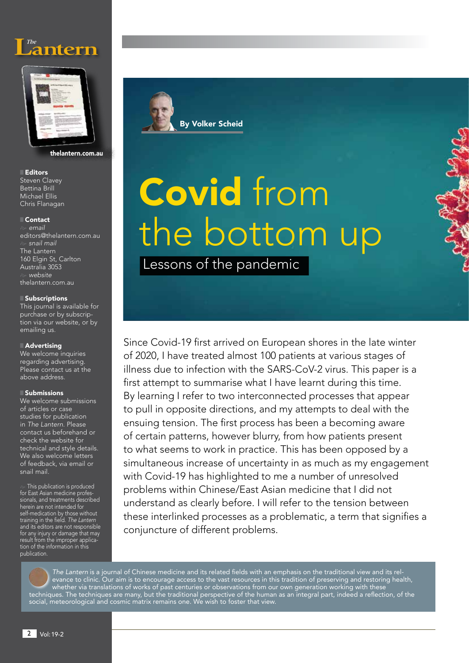



thelantern.com.au

### ■ Editors Steven Clavey Bettina Brill Michael Ellis Chris Flanagan

## ■ Contact

e *email* editors@thelantern.com.au e *snail mail* The Lantern 160 Elgin St, Carlton Australia 3053 e *website* thelantern.com.au

### ■ Subscriptions

This journal is available for purchase or by subscription via our website, or by emailing us.

### **Advertising**

We welcome inquiries regarding advertising. Please contact us at the above address.

### **Submissions**

We welcome submissions of articles or case studies for publication in *The Lantern*. Please contact us beforehand or check the website for technical and style details. We also welcome letters of feedback, via email or snail mail.

 $\gg$  This publication is produced for East Asian medicine professionals, and treatments described herein are not intended for self-medication by those without<br>training in the field. *The Lantern* and its editors are not responsible for any injury or damage that may result from the improper application of the information in this publication.



# Covid from the bottom up

Lessons of the pandemic

Since Covid-19 first arrived on European shores in the late winter of 2020, I have treated almost 100 patients at various stages of illness due to infection with the SARS-CoV-2 virus. This paper is a first attempt to summarise what I have learnt during this time. By learning I refer to two interconnected processes that appear to pull in opposite directions, and my attempts to deal with the ensuing tension. The first process has been a becoming aware of certain patterns, however blurry, from how patients present to what seems to work in practice. This has been opposed by a simultaneous increase of uncertainty in as much as my engagement with Covid-19 has highlighted to me a number of unresolved problems within Chinese/East Asian medicine that I did not understand as clearly before. I will refer to the tension between these interlinked processes as a problematic, a term that signifies a conjuncture of different problems.

*The Lantern* is a journal of Chinese medicine and its related fields with an emphasis on the traditional view and its relevance to clinic. Our aim is to encourage access to the vast resources in this tradition of preserving and restoring health, whether via translations of works of past centuries or observations from our own generation working with these techniques. The techniques are many, but the traditional perspective of the human as an integral part, indeed a reflection, of the social, meteorological and cosmic matrix remains one. We wish to foster that view.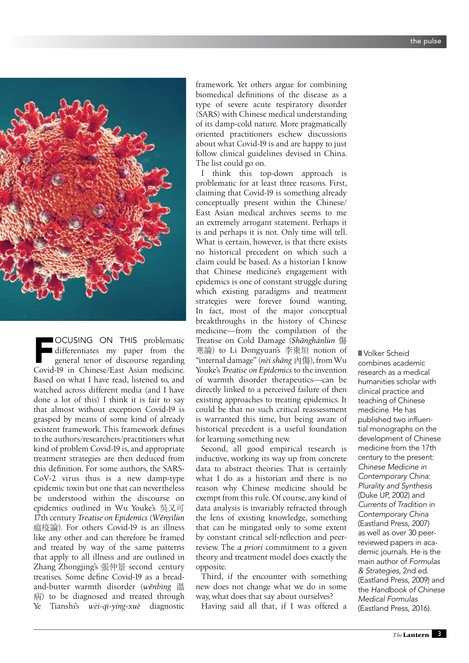

FOCUSING ON THIS problematic Covid-19 in Chinese/East Asian medicine. differentiates my paper from the general tenor of discourse regarding Based on what I have read, listened to, and watched across different media (and I have done a lot of this) I think it is fair to say that almost without exception Covid-19 is grasped by means of some kind of already existent framework. This framework defines to the authors/researchers/practitioners what kind of problem Covid-19 is, and appropriate treatment strategies are then deduced from this definition. For some authors, the SARS-CoV-2 virus thus is a new damp-type epidemic toxin but one that can nevertheless be understood within the discourse on epidemics outlined in Wu Youke's 吳又可 17th century *Treatise on Epidemics* (*Wënyìlùn* 瘟疫論). For others Covid-19 is an illness like any other and can therefore be framed and treated by way of the same patterns that apply to all illness and are outlined in Zhang Zhongjing's 張仲景 second century treatises. Some define Covid-19 as a breadand-butter warmth disorder (*wënbìng* 溫 病) to be diagnosed and treated through Ye Tianshi's *wèi-qì-yíng-xuè* diagnostic

framework. Yet others argue for combining biomedical definitions of the disease as a type of severe acute respiratory disorder (SARS) with Chinese medical understanding of its damp-cold nature. More pragmatically oriented practitioners eschew discussions about what Covid-19 is and are happy to just follow clinical guidelines devised in China. The list could go on.

I think this top-down approach is problematic for at least three reasons. First, claiming that Covid-19 is something already conceptually present within the Chinese/ East Asian medical archives seems to me an extremely arrogant statement. Perhaps it is and perhaps it is not. Only time will tell. What is certain, however, is that there exists no historical precedent on which such a claim could be based. As a historian I know that Chinese medicine's engagement with epidemics is one of constant struggle during which existing paradigms and treatment strategies were forever found wanting. In fact, most of the major conceptual breakthroughs in the history of Chinese medicine—from the compilation of the Treatise on Cold Damage (*Shänghánlùn* 傷 寒論) to Li Dongyuan's 李東垣 notion of "internal damage" (*nèi shäng* 內傷), from Wu Youke's *Treatise on Epidemics* to the invention of warmth disorder therapeutics—can be directly linked to a perceived failure of then existing approaches to treating epidemics. It could be that no such critical reassessment is warranted this time, but being aware of historical precedent is a useful foundation for learning something new.

Second, all good empirical research is inductive, working its way up from concrete data to abstract theories. That is certainly what I do as a historian and there is no reason why Chinese medicine should be exempt from this rule. Of course, any kind of data analysis is invariably refracted through the lens of existing knowledge, something that can be mitigated only to some extent by constant critical self-reflection and peerreview. The *a priori* commitment to a given theory and treatment model does exactly the opposite.

Third, if the encounter with something new does not change what we do in some way, what does that say about ourselves?

Having said all that, if I was offered a

■ Volker Scheid combines academic research as a medical humanities scholar with clinical practice and teaching of Chinese medicine. He has published two influential monographs on the development of Chinese medicine from the 17th century to the present: *Chinese Medicine in Contemporary China: Plurality and Synthesis*  (Duke UP, 2002) and *Currents of Tradition in Contemporary China* (Eastland Press, 2007) as well as over 30 peerreviewed papers in academic journals. He is the main author of *Formulas & Strategies,* 2nd ed. (Eastland Press, 2009) and the *Handbook of Chinese Medical Formulas*  (Eastland Press, 2016).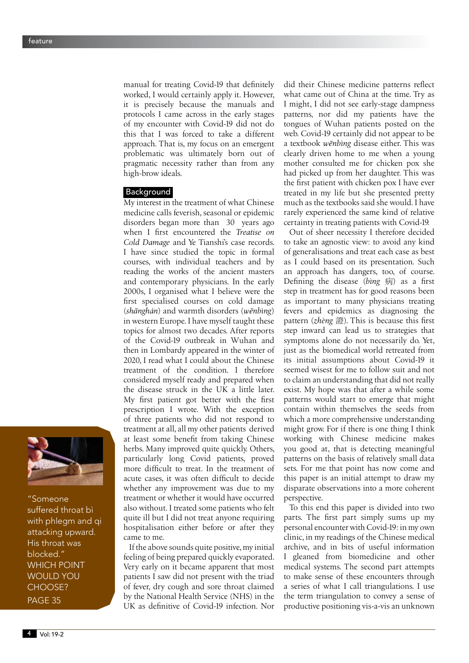manual for treating Covid-19 that definitely worked, I would certainly apply it. However, it is precisely because the manuals and protocols I came across in the early stages of my encounter with Covid-19 did not do this that I was forced to take a different approach. That is, my focus on an emergent problematic was ultimately born out of pragmatic necessity rather than from any high-brow ideals.

## Background

My interest in the treatment of what Chinese medicine calls feverish, seasonal or epidemic disorders began more than 30 years ago when I first encountered the *Treatise on Cold Damage* and Ye Tianshi's case records. I have since studied the topic in formal courses, with individual teachers and by reading the works of the ancient masters and contemporary physicians. In the early 2000s, I organised what I believe were the first specialised courses on cold damage (*shänghán*) and warmth disorders (*wënbìng*) in western Europe. I have myself taught these topics for almost two decades. After reports of the Covid-19 outbreak in Wuhan and then in Lombardy appeared in the winter of 2020, I read what I could about the Chinese treatment of the condition. I therefore considered myself ready and prepared when the disease struck in the UK a little later. My first patient got better with the first prescription I wrote. With the exception of three patients who did not respond to treatment at all, all my other patients derived at least some benefit from taking Chinese herbs. Many improved quite quickly. Others, particularly long Covid patients, proved more difficult to treat. In the treatment of acute cases, it was often difficult to decide whether any improvement was due to my treatment or whether it would have occurred also without. I treated some patients who felt quite ill but I did not treat anyone requiring hospitalisation either before or after they came to me.

If the above sounds quite positive, my initial feeling of being prepared quickly evaporated. Very early on it became apparent that most patients I saw did not present with the triad of fever, dry cough and sore throat claimed by the National Health Service (NHS) in the UK as definitive of Covid-19 infection. Nor did their Chinese medicine patterns reflect what came out of China at the time. Try as I might, I did not see early-stage dampness patterns, nor did my patients have the tongues of Wuhan patients posted on the web. Covid-19 certainly did not appear to be a textbook *wënbìng* disease either. This was clearly driven home to me when a young mother consulted me for chicken pox she had picked up from her daughter. This was the first patient with chicken pox I have ever treated in my life but she presented pretty much as the textbooks said she would. I have rarely experienced the same kind of relative certainty in treating patients with Covid-19.

Out of sheer necessity I therefore decided to take an agnostic view: to avoid any kind of generalisations and treat each case as best as I could based on its presentation. Such an approach has dangers, too, of course. Defining the disease (*bìng* 病) as a first step in treatment has for good reasons been as important to many physicians treating fevers and epidemics as diagnosing the pattern (*zhèng* 證). This is because this first step inward can lead us to strategies that symptoms alone do not necessarily do. Yet, just as the biomedical world retreated from its initial assumptions about Covid-19 it seemed wisest for me to follow suit and not to claim an understanding that did not really exist. My hope was that after a while some patterns would start to emerge that might contain within themselves the seeds from which a more comprehensive understanding might grow. For if there is one thing I think working with Chinese medicine makes you good at, that is detecting meaningful patterns on the basis of relatively small data sets. For me that point has now come and this paper is an initial attempt to draw my disparate observations into a more coherent perspective.

To this end this paper is divided into two parts. The first part simply sums up my personal encounter with Covid-19: in my own clinic, in my readings of the Chinese medical archive, and in bits of useful information I gleaned from biomedicine and other medical systems. The second part attempts to make sense of these encounters through a series of what I call triangulations. I use the term triangulation to convey a sense of productive positioning vis-a-vis an unknown



"Someone suffered throat bì with phlegm and qi attacking upward. His throat was blocked." WHICH POINT WOULD YOU CHOOSE? PAGE 35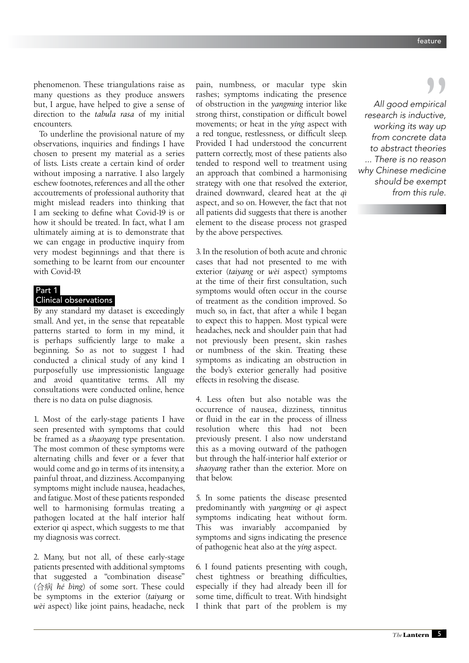phenomenon. These triangulations raise as many questions as they produce answers but, I argue, have helped to give a sense of direction to the *tabula rasa* of my initial encounters.

To underline the provisional nature of my observations, inquiries and findings I have chosen to present my material as a series of lists. Lists create a certain kind of order without imposing a narrative. I also largely eschew footnotes, references and all the other accoutrements of professional authority that might mislead readers into thinking that I am seeking to define what Covid-19 is or how it should be treated. In fact, what I am ultimately aiming at is to demonstrate that we can engage in productive inquiry from very modest beginnings and that there is something to be learnt from our encounter with Covid-19.

## Part 1

## Clinical observations

By any standard my dataset is exceedingly small. And yet, in the sense that repeatable patterns started to form in my mind, it is perhaps sufficiently large to make a beginning. So as not to suggest I had conducted a clinical study of any kind I purposefully use impressionistic language and avoid quantitative terms. All my consultations were conducted online, hence there is no data on pulse diagnosis.

1. Most of the early-stage patients I have seen presented with symptoms that could be framed as a *shaoyang* type presentation. The most common of these symptoms were alternating chills and fever or a fever that would come and go in terms of its intensity, a painful throat, and dizziness. Accompanying symptoms might include nausea, headaches, and fatigue. Most of these patients responded well to harmonising formulas treating a pathogen located at the half interior half exterior qi aspect, which suggests to me that my diagnosis was correct.

2. Many, but not all, of these early-stage patients presented with additional symptoms that suggested a "combination disease" (合病 *hé bìng*) of some sort. These could be symptoms in the exterior (*taiyang* or *wèi* aspect) like joint pains, headache, neck pain, numbness, or macular type skin rashes; symptoms indicating the presence of obstruction in the *yangming* interior like strong thirst, constipation or difficult bowel movements; or heat in the *yíng* aspect with a red tongue, restlessness, or difficult sleep. Provided I had understood the concurrent pattern correctly, most of these patients also tended to respond well to treatment using an approach that combined a harmonising strategy with one that resolved the exterior, drained downward, cleared heat at the *qì* aspect, and so on. However, the fact that not all patients did suggests that there is another element to the disease process not grasped by the above perspectives.

3. In the resolution of both acute and chronic cases that had not presented to me with exterior (*taiyang* or *wèi* aspect) symptoms at the time of their first consultation, such symptoms would often occur in the course of treatment as the condition improved. So much so, in fact, that after a while I began to expect this to happen. Most typical were headaches, neck and shoulder pain that had not previously been present, skin rashes or numbness of the skin. Treating these symptoms as indicating an obstruction in the body's exterior generally had positive effects in resolving the disease.

4. Less often but also notable was the occurrence of nausea, dizziness, tinnitus or fluid in the ear in the process of illness resolution where this had not been previously present. I also now understand this as a moving outward of the pathogen but through the half-interior half exterior or *shaoyang* rather than the exterior. More on that below.

5. In some patients the disease presented predominantly with *yangming* or *qì* aspect symptoms indicating heat without form. This was invariably accompanied by symptoms and signs indicating the presence of pathogenic heat also at the *yíng* aspect.

6. I found patients presenting with cough, chest tightness or breathing difficulties, especially if they had already been ill for some time, difficult to treat. With hindsight I think that part of the problem is my

*All good empirical research is inductive, All good empirical*<br>search is inductive,<br>working its way up *from concrete data to abstract theories ... There is no reason why Chinese medicine should be exempt from this rule.*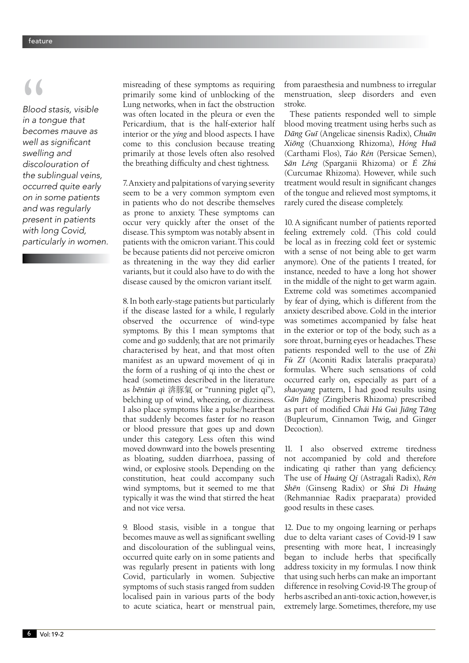*Blood stasis, visible in a tongue that becomes mauve as*  well as significant *swelling and discolouration of the sublingual veins, occurred quite early on in some patients and was regularly present in patients with long Covid, particularly in women.* **b**<br>Blood<br>in a to<br>becor

misreading of these symptoms as requiring primarily some kind of unblocking of the Lung networks, when in fact the obstruction was often located in the pleura or even the Pericardium, that is the half-exterior half interior or the *yíng* and blood aspects. I have come to this conclusion because treating primarily at those levels often also resolved the breathing difficulty and chest tightness.

7. Anxiety and palpitations of varying severity seem to be a very common symptom even in patients who do not describe themselves as prone to anxiety. These symptoms can occur very quickly after the onset of the disease. This symptom was notably absent in patients with the omicron variant. This could be because patients did not perceive omicron as threatening in the way they did earlier variants, but it could also have to do with the disease caused by the omicron variant itself.

8. In both early-stage patients but particularly if the disease lasted for a while, I regularly observed the occurrence of wind-type symptoms. By this I mean symptoms that come and go suddenly, that are not primarily characterised by heat, and that most often manifest as an upward movement of qi in the form of a rushing of qi into the chest or head (sometimes described in the literature as *bēntún qì* 渀豚氣 or "running piglet qi"), belching up of wind, wheezing, or dizziness. I also place symptoms like a pulse/heartbeat that suddenly becomes faster for no reason or blood pressure that goes up and down under this category. Less often this wind moved downward into the bowels presenting as bloating, sudden diarrhoea, passing of wind, or explosive stools. Depending on the constitution, heat could accompany such wind symptoms, but it seemed to me that typically it was the wind that stirred the heat and not vice versa.

9. Blood stasis, visible in a tongue that becomes mauve as well as significant swelling and discolouration of the sublingual veins, occurred quite early on in some patients and was regularly present in patients with long Covid, particularly in women. Subjective symptoms of such stasis ranged from sudden localised pain in various parts of the body to acute sciatica, heart or menstrual pain, from paraesthesia and numbness to irregular menstruation, sleep disorders and even stroke.

These patients responded well to simple blood moving treatment using herbs such as *Däng Guï* (Angelicae sinensis Radix), *Chuän Xiöng* (Chuanxiong Rhizoma), *Hóng Huä* (Carthami Flos), *Táo Rén* (Persicae Semen), *Sän Léng* (Sparganii Rhizoma) or *É Zhú* (Curcumae Rhizoma). However, while such treatment would result in significant changes of the tongue and relieved most symptoms, it rarely cured the disease completely.

10. A significant number of patients reported feeling extremely cold. (This cold could be local as in freezing cold feet or systemic with a sense of not being able to get warm anymore). One of the patients I treated, for instance, needed to have a long hot shower in the middle of the night to get warm again. Extreme cold was sometimes accompanied by fear of dying, which is different from the anxiety described above. Cold in the interior was sometimes accompanied by false heat in the exterior or top of the body, such as a sore throat, burning eyes or headaches. These patients responded well to the use of *Zhì Fù Zî* (Aconiti Radix lateralis praeparata) formulas. Where such sensations of cold occurred early on, especially as part of a *shaoyang* pattern, I had good results using *Gän Jiäng* (Zingiberis Rhizoma) prescribed as part of modified *Chái Hú Guì Jiäng Täng* (Bupleurum, Cinnamon Twig, and Ginger Decoction).

11. I also observed extreme tiredness not accompanied by cold and therefore indicating qi rather than yang deficiency. The use of *Huáng Qí* (Astragali Radix), *Rén Shën* (Ginseng Radix) or *Shú Dì Huáng*  (Rehmanniae Radix praeparata) provided good results in these cases.

12. Due to my ongoing learning or perhaps due to delta variant cases of Covid-19 I saw presenting with more heat, I increasingly began to include herbs that specifically address toxicity in my formulas. I now think that using such herbs can make an important difference in resolving Covid-19. The group of herbs ascribed an anti-toxic action, however, is extremely large. Sometimes, therefore, my use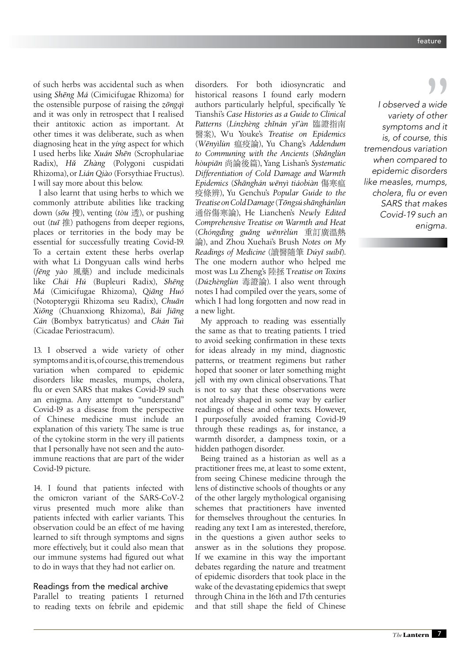of such herbs was accidental such as when using *Shëng Má* (Cimicifugae Rhizoma) for the ostensible purpose of raising the *zöngqì* and it was only in retrospect that I realised their antitoxic action as important. At other times it was deliberate, such as when diagnosing heat in the *yíng* aspect for which I used herbs like *Xuán Shën* (Scrophulariae Radix), *Hû Zhàng* (Polygoni cuspidati Rhizoma), or *Lián Qiào* (Forsythiae Fructus). I will say more about this below.

I also learnt that using herbs to which we commonly attribute abilities like tracking down (*söu* 搜), venting (*tòu* 透), or pushing out (*tuï* 推) pathogens from deeper regions, places or territories in the body may be essential for successfully treating Covid-19. To a certain extent these herbs overlap with what Li Dongyuan calls wind herbs (*fëng yào* 風藥) and include medicinals like *Chái Hú* (Bupleuri Radix), *Shëng Má* (Cimicifugae Rhizoma), *Qiäng Huó* (Notopterygii Rhizoma seu Radix), *Chuän Xiöng* (Chuanxiong Rhizoma), *Bái Jiäng Cán* (Bombyx batryticatus) and *Chán Tuì*  (Cicadae Periostracum).

13. I observed a wide variety of other symptoms and it is, of course, this tremendous variation when compared to epidemic disorders like measles, mumps, cholera, flu or even SARS that makes Covid-19 such an enigma. Any attempt to "understand" Covid-19 as a disease from the perspective of Chinese medicine must include an explanation of this variety. The same is true of the cytokine storm in the very ill patients that I personally have not seen and the autoimmune reactions that are part of the wider Covid-19 picture.

14. I found that patients infected with the omicron variant of the SARS-CoV-2 virus presented much more alike than patients infected with earlier variants. This observation could be an effect of me having learned to sift through symptoms and signs more effectively, but it could also mean that our immune systems had figured out what to do in ways that they had not earlier on.

Readings from the medical archive Parallel to treating patients I returned to reading texts on febrile and epidemic

disorders. For both idiosyncratic and historical reasons I found early modern authors particularly helpful, specifically Ye Tianshi's *Case Histories as a Guide to Clinical Patterns* (*Línzhèng zhînán yï'àn* 臨證指南 醫案), Wu Youke's *Treatise on Epidemics* (*Wënyìlùn* 瘟疫論), Yu Chang's *Addendum to Communing with the Ancients* (*Shânglùn hòupiän* 尚論後篇), Yang Lishan's *Systematic Differentiation of Cold Damage and Warmth Epidemics* (*Shänghán wënyì tiáobiàn* 傷寒瘟 疫條辨), Yu Genchu's *Popular Guide to the Treatise on Cold Damage* (*Töngsú shänghánlùn*  通俗傷寒論), He Lianchen's *Newly Edited Comprehensive Treatise on Warmth and Heat* (*Chóngdìng guâng wënrèlùn* 重訂廣溫熱 論), and Zhou Xuehai's Brush *Notes on My Readings of Medicine* (讀醫隨筆 *Dúyï suíbî*). The one modern author who helped me most was Lu Zheng's 陸拯 T*reatise on Toxins* (*Dúzhènglùn* 毒證論). I also went through notes I had compiled over the years, some of which I had long forgotten and now read in a new light.

My approach to reading was essentially the same as that to treating patients. I tried to avoid seeking confirmation in these texts for ideas already in my mind, diagnostic patterns, or treatment regimens but rather hoped that sooner or later something might jell with my own clinical observations. That is not to say that these observations were not already shaped in some way by earlier readings of these and other texts. However, I purposefully avoided framing Covid-19 through these readings as, for instance, a warmth disorder, a dampness toxin, or a hidden pathogen disorder.

Being trained as a historian as well as a practitioner frees me, at least to some extent, from seeing Chinese medicine through the lens of distinctive schools of thoughts or any of the other largely mythological organising schemes that practitioners have invented for themselves throughout the centuries. In reading any text I am as interested, therefore, in the questions a given author seeks to answer as in the solutions they propose. If we examine in this way the important debates regarding the nature and treatment of epidemic disorders that took place in the wake of the devastating epidemics that swept through China in the 16th and 17th centuries and that still shape the field of Chinese

*I observed a wide variety of other symptoms and it is, of course, this tremendous variation when compared to epidemic disorders like measles, mumps,*  cholera, flu or even *SARS that makes Covid-19 such an enigma.*  wide<br>
other<br>
and it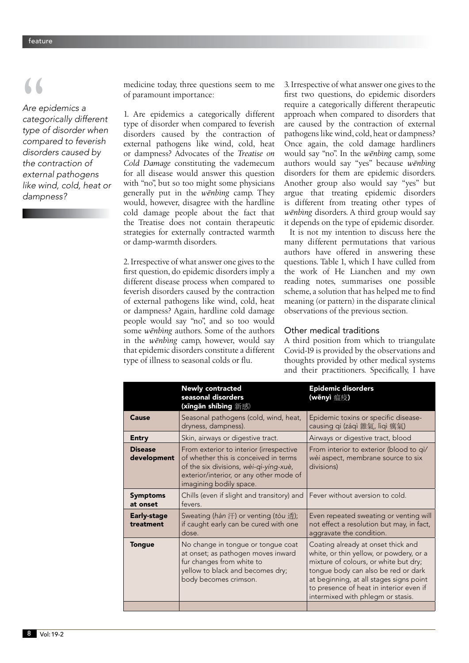*Are epidemics a categorically different type of disorder when compared to feverish disorders caused by the contraction of external pathogens like wind, cold, heat or dampness?* 

of paramount importance:

medicine today, three questions seem to me<br>
of paramount importance:<br>
Are epidemics a<br>
categorically different<br>
type of disorder when<br>
disorders caused by the contraction of 1. Are epidemics a categorically different type of disorder when compared to feverish disorders caused by the contraction of external pathogens like wind, cold, heat or dampness? Advocates of the *Treatise on Cold Damage* constituting the vademecum for all disease would answer this question with "no", but so too might some physicians generally put in the *wënbìng* camp. They would, however, disagree with the hardline cold damage people about the fact that the Treatise does not contain therapeutic strategies for externally contracted warmth or damp-warmth disorders.

> 2. Irrespective of what answer one gives to the first question, do epidemic disorders imply a different disease process when compared to feverish disorders caused by the contraction of external pathogens like wind, cold, heat or dampness? Again, hardline cold damage people would say "no", and so too would some *wënbìng* authors. Some of the authors in the *wënbìng* camp, however, would say that epidemic disorders constitute a different type of illness to seasonal colds or flu.

3. Irrespective of what answer one gives to the first two questions, do epidemic disorders require a categorically different therapeutic approach when compared to disorders that are caused by the contraction of external pathogens like wind, cold, heat or dampness? Once again, the cold damage hardliners would say "no". In the *wënbìng* camp, some authors would say "yes" because *wënbìng* disorders for them are epidemic disorders. Another group also would say "yes" but argue that treating epidemic disorders is different from treating other types of *wënbìng* disorders. A third group would say it depends on the type of epidemic disorder.

It is not my intention to discuss here the many different permutations that various authors have offered in answering these questions. Table 1, which I have culled from the work of He Lianchen and my own reading notes, summarises one possible scheme, a solution that has helped me to find meaning (or pattern) in the disparate clinical observations of the previous section.

## Other medical traditions

A third position from which to triangulate Covid-19 is provided by the observations and thoughts provided by other medical systems and their practitioners. Specifically, I have

|                                 | <b>Newly contracted</b><br>seasonal disorders<br>(xīngǎn shíbìng 新感)                                                                                                                             | <b>Epidemic disorders</b><br>(wēnyì 瘟疫)                                                                                                                                                                                                                                                  |
|---------------------------------|--------------------------------------------------------------------------------------------------------------------------------------------------------------------------------------------------|------------------------------------------------------------------------------------------------------------------------------------------------------------------------------------------------------------------------------------------------------------------------------------------|
| Cause                           | Seasonal pathogens (cold, wind, heat,<br>dryness, dampness).                                                                                                                                     | Epidemic toxins or specific disease-<br>causing qi (záqì 雜氣, lìqì 癘氣)                                                                                                                                                                                                                    |
| <b>Entry</b>                    | Skin, airways or digestive tract.                                                                                                                                                                | Airways or digestive tract, blood                                                                                                                                                                                                                                                        |
| <b>Disease</b><br>development   | From exterior to interior (irrespective<br>of whether this is conceived in terms<br>of the six divisions, wèi-qì-yíng-xuè,<br>exterior/interior, or any other mode of<br>imagining bodily space. | From interior to exterior (blood to qi/<br>wèi aspect, membrane source to six<br>divisions)                                                                                                                                                                                              |
| <b>Symptoms</b><br>at onset     | Chills (even if slight and transitory) and<br>fevers.                                                                                                                                            | Fever without aversion to cold.                                                                                                                                                                                                                                                          |
| <b>Early-stage</b><br>treatment | Sweating (hàn 汗) or venting (tòu 透);<br>if caught early can be cured with one<br>dose.                                                                                                           | Even repeated sweating or venting will<br>not effect a resolution but may, in fact,<br>aggravate the condition.                                                                                                                                                                          |
| <b>Tongue</b>                   | No change in tongue or tongue coat<br>at onset; as pathogen moves inward<br>fur changes from white to<br>yellow to black and becomes dry;<br>body becomes crimson.                               | Coating already at onset thick and<br>white, or thin yellow, or powdery, or a<br>mixture of colours, or white but dry;<br>tongue body can also be red or dark<br>at beginning, at all stages signs point<br>to presence of heat in interior even if<br>intermixed with phlegm or stasis. |
|                                 |                                                                                                                                                                                                  |                                                                                                                                                                                                                                                                                          |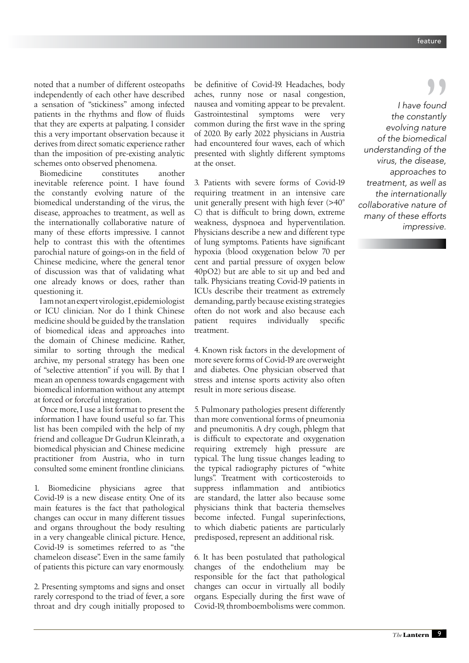noted that a number of different osteopaths independently of each other have described a sensation of "stickiness" among infected patients in the rhythms and flow of fluids that they are experts at palpating. I consider this a very important observation because it derives from direct somatic experience rather than the imposition of pre-existing analytic schemes onto observed phenomena.

Biomedicine constitutes another inevitable reference point. I have found the constantly evolving nature of the biomedical understanding of the virus, the disease, approaches to treatment, as well as the internationally collaborative nature of many of these efforts impressive. I cannot help to contrast this with the oftentimes parochial nature of goings-on in the field of Chinese medicine, where the general tenor of discussion was that of validating what one already knows or does, rather than questioning it.

I am not an expert virologist, epidemiologist or ICU clinician. Nor do I think Chinese medicine should be guided by the translation of biomedical ideas and approaches into the domain of Chinese medicine. Rather, similar to sorting through the medical archive, my personal strategy has been one of "selective attention" if you will. By that I mean an openness towards engagement with biomedical information without any attempt at forced or forceful integration.

Once more, I use a list format to present the information I have found useful so far. This list has been compiled with the help of my friend and colleague Dr Gudrun Kleinrath, a biomedical physician and Chinese medicine practitioner from Austria, who in turn consulted some eminent frontline clinicians.

1. Biomedicine physicians agree that Covid-19 is a new disease entity. One of its main features is the fact that pathological changes can occur in many different tissues and organs throughout the body resulting in a very changeable clinical picture. Hence, Covid-19 is sometimes referred to as "the chameleon disease". Even in the same family of patients this picture can vary enormously.

2. Presenting symptoms and signs and onset rarely correspond to the triad of fever, a sore throat and dry cough initially proposed to

be definitive of Covid-19. Headaches, body aches, runny nose or nasal congestion, nausea and vomiting appear to be prevalent. Gastrointestinal symptoms were very common during the first wave in the spring of 2020. By early 2022 physicians in Austria had encountered four waves, each of which presented with slightly different symptoms at the onset.

3. Patients with severe forms of Covid-19 requiring treatment in an intensive care unit generally present with high fever (>40° C) that is difficult to bring down, extreme weakness, dyspnoea and hyperventilation. Physicians describe a new and different type of lung symptoms. Patients have significant hypoxia (blood oxygenation below 70 per cent and partial pressure of oxygen below 40pO2) but are able to sit up and bed and talk. Physicians treating Covid-19 patients in ICUs describe their treatment as extremely demanding, partly because existing strategies often do not work and also because each patient requires individually specific treatment.

4. Known risk factors in the development of more severe forms of Covid-19 are overweight and diabetes. One physician observed that stress and intense sports activity also often result in more serious disease.

5. Pulmonary pathologies present differently than more conventional forms of pneumonia and pneumonitis. A dry cough, phlegm that is difficult to expectorate and oxygenation requiring extremely high pressure are typical. The lung tissue changes leading to the typical radiography pictures of "white lungs". Treatment with corticosteroids to suppress inflammation and antibiotics are standard, the latter also because some physicians think that bacteria themselves become infected. Fungal superinfections, to which diabetic patients are particularly predisposed, represent an additional risk.

6. It has been postulated that pathological changes of the endothelium may be responsible for the fact that pathological changes can occur in virtually all bodily organs. Especially during the first wave of Covid-19, thromboembolisms were common.

*I have found the constantly evolving nature of the biomedical understanding of the virus, the disease, approaches to treatment, as well as the internationally collaborative nature of many of these efforts impressive.*  "<br>"<br>"<br>"<br>"<br>ature"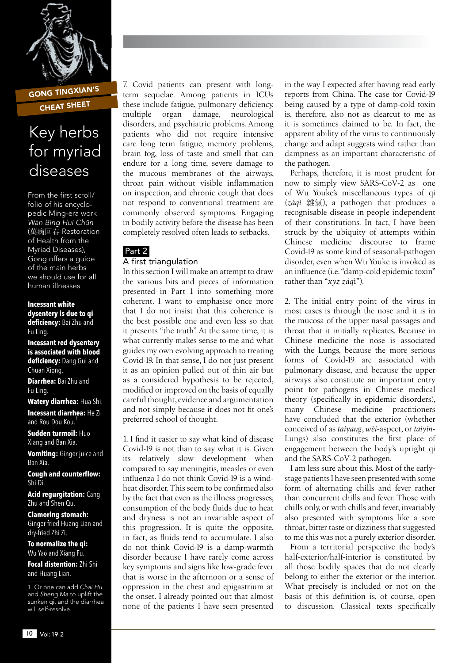

GONG TINGXIAN'S CHEAT SHEET

## Key herbs for myriad diseases

From the first scroll/ folio of his encyclopedic Ming-era work Wàn Bìng Huí Chūn (萬病回春 Restoration of Health from the Myriad Diseases), Gong offers a guide of the main herbs we should use for all human illnesses

**Incessant white dysentery is due to qi deficiency:** Bai Zhu and Fu Ling.

**Incessant red dysentery is associated with blood deficiency:** Dang Gui and Chuan Xiong.

**Diarrhea:** Bai Zhu and Fu Ling.

**Watery diarrhea:** Hua Shi. **Incessant diarrhea:** He Zi and Rou Dou Kou.<sup>1</sup>

**Sudden turmoil:** Huo Xiang and Ban Xia.

**Vomiting:** Ginger juice and Ban Xia.

**Cough and counterflow:**  Shi Di.

**Acid regurgitation:** Cang Zhu and Shen Qu.

**Clamoring stomach:**  Ginger-fried Huang Lian and dry-fried Zhi Zi.

**To normalize the qi:**  Wu Yao and Xiang Fu.

**Focal distention:** Zhi Shi and Huang Lian.

1. Or one can add *Chai Hu* and *Sheng Ma* to uplift the sunken qi, and the diarrhea will self-resolve.

7. Covid patients can present with longterm sequelae. Among patients in ICUs these include fatigue, pulmonary deficiency, multiple organ damage, neurological disorders, and psychiatric problems. Among patients who did not require intensive care long term fatigue, memory problems, brain fog, loss of taste and smell that can endure for a long time, severe damage to the mucous membranes of the airways, throat pain without visible inflammation on inspection, and chronic cough that does not respond to conventional treatment are commonly observed symptoms. Engaging in bodily activity before the disease has been completely resolved often leads to setbacks.

## Part 2

## A first triangulation

In this section I will make an attempt to draw the various bits and pieces of information presented in Part 1 into something more coherent. I want to emphasise once more that I do not insist that this coherence is the best possible one and even less so that it presents "the truth". At the same time, it is what currently makes sense to me and what guides my own evolving approach to treating Covid-19. In that sense, I do not just present it as an opinion pulled out of thin air but as a considered hypothesis to be rejected, modified or improved on the basis of equally careful thought, evidence and argumentation and not simply because it does not fit one's preferred school of thought.

1. I find it easier to say what kind of disease Covid-19 is not than to say what it is. Given its relatively slow development when compared to say meningitis, measles or even influenza I do not think Covid-19 is a windheat disorder. This seem to be confirmed also by the fact that even as the illness progresses, consumption of the body fluids due to heat and dryness is not an invariable aspect of this progression. It is quite the opposite, in fact, as fluids tend to accumulate. I also do not think Covid-19 is a damp-warmth disorder because I have rarely come across key symptoms and signs like low-grade fever that is worse in the afternoon or a sense of oppression in the chest and epigastrium at the onset. I already pointed out that almost none of the patients I have seen presented

in the way I expected after having read early reports from China. The case for Covid-19 being caused by a type of damp-cold toxin is, therefore, also not as clearcut to me as it is sometimes claimed to be. In fact, the apparent ability of the virus to continuously change and adapt suggests wind rather than dampness as an important characteristic of the pathogen.

Perhaps, therefore, it is most prudent for now to simply view SARS-CoV-2 as one of Wu Youke's miscellaneous types of qi (*záqì* 雜氣), a pathogen that produces a recognisable disease in people independent of their constitutions. In fact, I have been struck by the ubiquity of attempts within Chinese medicine discourse to frame Covid-19 as some kind of seasonal-pathogen disorder, even when Wu Youke is invoked as an influence (i.e. "damp-cold epidemic toxin" rather than "*xyz záq*ì").

2. The initial entry point of the virus in most cases is through the nose and it is in the mucosa of the upper nasal passages and throat that it initially replicates. Because in Chinese medicine the nose is associated with the Lungs, because the more serious forms of Covid-19 are associated with pulmonary disease, and because the upper airways also constitute an important entry point for pathogens in Chinese medical theory (specifically in epidemic disorders), many Chinese medicine practitioners have concluded that the exterior (whether conceived of as *taiyang*, *wèi*-aspect, or *taiyin*-Lungs) also constitutes the first place of engagement between the body's upright qi and the SARS-CoV-2 pathogen.

I am less sure about this. Most of the earlystage patients I have seen presented with some form of alternating chills and fever rather than concurrent chills and fever. Those with chills only, or with chills and fever, invariably also presented with symptoms like a sore throat, bitter taste or dizziness that suggested to me this was not a purely exterior disorder.

From a territorial perspective the body's half-exterior/half-interior is constituted by all those bodily spaces that do not clearly belong to either the exterior or the interior. What precisely is included or not on the basis of this definition is, of course, open to discussion. Classical texts specifically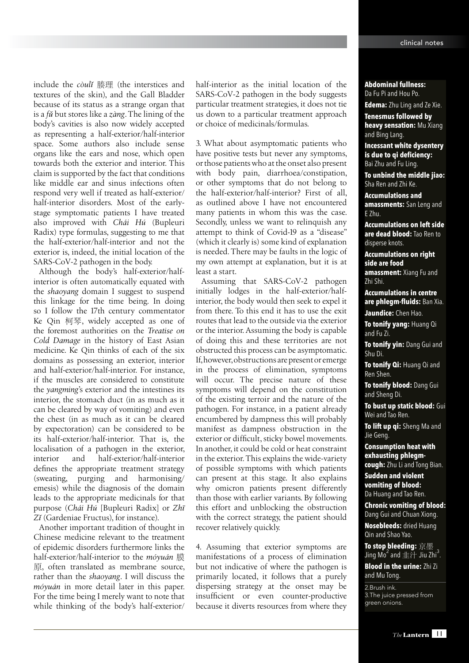include the *còulî* 腠理 (the interstices and textures of the skin), and the Gall Bladder because of its status as a strange organ that is a *fû* but stores like a *zàng*. The lining of the body's cavities is also now widely accepted as representing a half-exterior/half-interior space. Some authors also include sense organs like the ears and nose, which open towards both the exterior and interior. This claim is supported by the fact that conditions like middle ear and sinus infections often respond very well if treated as half-exterior/ half-interior disorders. Most of the earlystage symptomatic patients I have treated also improved with *Chái Hú* (Bupleuri Radix) type formulas, suggesting to me that the half-exterior/half-interior and not the exterior is, indeed, the initial location of the SARS-CoV-2 pathogen in the body.

Although the body's half-exterior/halfinterior is often automatically equated with the *shaoyang* domain I suggest to suspend this linkage for the time being. In doing so I follow the 17th century commentator Ke Qin 柯琴, widely accepted as one of the foremost authorities on the *Treatise on Cold Damage* in the history of East Asian medicine. Ke Qin thinks of each of the six domains as possessing an exterior, interior and half-exterior/half-interior. For instance, if the muscles are considered to constitute the *yangming*'s exterior and the intestines its interior, the stomach duct (in as much as it can be cleared by way of vomiting) and even the chest (in as much as it can be cleared by expectoration) can be considered to be its half-exterior/half-interior. That is, the localisation of a pathogen in the exterior, interior and half-exterior/half-interior defines the appropriate treatment strategy (sweating, purging and harmonising/ emesis) while the diagnosis of the domain leads to the appropriate medicinals for that purpose (*Chái Hú* [Bupleuri Radix] or *Zhï Zî* (Gardeniae Fructus), for instance).

Another important tradition of thought in Chinese medicine relevant to the treatment of epidemic disorders furthermore links the half-exterior/half-interior to the *móyuán* 膜 原, often translated as membrane source, rather than the *shaoyang*. I will discuss the *móyuán* in more detail later in this paper. For the time being I merely want to note that while thinking of the body's half-exterior/

half-interior as the initial location of the SARS-CoV-2 pathogen in the body suggests particular treatment strategies, it does not tie us down to a particular treatment approach or choice of medicinals/formulas.

3. What about asymptomatic patients who have positive tests but never any symptoms, or those patients who at the onset also present with body pain, diarrhoea/constipation, or other symptoms that do not belong to the half-exterior/half-interior? First of all, as outlined above I have not encountered many patients in whom this was the case. Secondly, unless we want to relinquish any attempt to think of Covid-19 as a "disease" (which it clearly is) some kind of explanation is needed. There may be faults in the logic of my own attempt at explanation, but it is at least a start.

Assuming that SARS-CoV-2 pathogen initially lodges in the half-exterior/halfinterior, the body would then seek to expel it from there. To this end it has to use the exit routes that lead to the outside via the exterior or the interior. Assuming the body is capable of doing this and these territories are not obstructed this process can be asymptomatic. If, however, obstructions are present or emerge in the process of elimination, symptoms will occur. The precise nature of these symptoms will depend on the constitution of the existing terroir and the nature of the pathogen. For instance, in a patient already encumbered by dampness this will probably manifest as dampness obstruction in the exterior or difficult, sticky bowel movements. In another, it could be cold or heat constraint in the exterior. This explains the wide-variety of possible symptoms with which patients can present at this stage. It also explains why omicron patients present differently than those with earlier variants. By following this effort and unblocking the obstruction with the correct strategy, the patient should recover relatively quickly.

4. Assuming that exterior symptoms are manifestations of a process of elimination but not indicative of where the pathogen is primarily located, it follows that a purely dispersing strategy at the onset may be insufficient or even counter-productive because it diverts resources from where they **Abdominal fullness:**  Da Fu Pi and Hou Po.

**Edema:** Zhu Ling and Ze Xie.

**Tenesmus followed by heavy sensation:** Mu Xiang and Bing Lang.

**Incessant white dysentery is due to qi deficiency:**  Bai Zhu and Fu Ling.

**To unbind the middle jiao:**  Sha Ren and Zhi Ke.

**Accumulations and amassments:** San Leng and E Zhu.

**Accumulations on left side are dead blood:** Tao Ren to disperse knots.

**Accumulations on right side are food amassment:** Xiang Fu and Zhi Shi.

**Accumulations in centre are phlegm-fluids:** Ban Xia. **Jaundice:** Chen Hao.

**To tonify yang:** Huang Qi and Fu Zi.

**To tonify yin:** Dang Gui and Shu Di.

**To tonify Qi:** Huang Qi and Ren Shen.

**To tonify blood:** Dang Gui and Sheng Di.

**To bust up static blood:** Gui Wei and Tao Ren.

**To lift up qi:** Sheng Ma and Jie Geng.

**Consumption heat with exhausting phlegmcough:** Zhu Li and Tong Bian.

**Sudden and violent vomiting of blood:**  Da Huang and Tao Ren.

**Chronic vomiting of blood:**  Dang Gui and Chuan Xiong. **Nosebleeds:** dried Huang Qin and Shao Yao.

**To stop bleeding:** 京墨 Jing Mo<sup>2</sup> and  $\pm$   $\text{H}$  Jiu Zhi<sup>3</sup>.

**Blood in the urine:** Zhi Zi and Mu Tong.

2.Brush ink. 3.The juice pressed from green onions.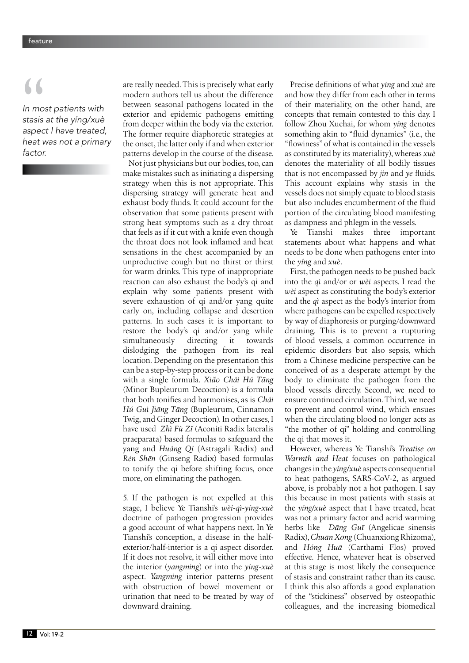*In most patients with stasis at the yíng/xuè aspect I have treated, heat was not a primary factor.* **||**<br>|n mo<br>|stasis<br>|aspec

are really needed. This is precisely what early modern authors tell us about the difference between seasonal pathogens located in the exterior and epidemic pathogens emitting from deeper within the body via the exterior. The former require diaphoretic strategies at the onset, the latter only if and when exterior patterns develop in the course of the disease. Not just physicians but our bodies, too, can make mistakes such as initiating a dispersing strategy when this is not appropriate. This dispersing strategy will generate heat and exhaust body fluids. It could account for the observation that some patients present with strong heat symptoms such as a dry throat that feels as if it cut with a knife even though the throat does not look inflamed and heat sensations in the chest accompanied by an unproductive cough but no thirst or thirst for warm drinks. This type of inappropriate reaction can also exhaust the body's qi and explain why some patients present with severe exhaustion of qi and/or yang quite early on, including collapse and desertion patterns. In such cases it is important to restore the body's qi and/or yang while simultaneously directing it towards dislodging the pathogen from its real location. Depending on the presentation this can be a step-by-step process or it can be done with a single formula. *Xiâo Chái Hú Täng* (Minor Bupleurum Decoction) is a formula that both tonifies and harmonises, as is *Chái Hú Guì Jiäng Täng* (Bupleurum, Cinnamon Twig, and Ginger Decoction). In other cases, I have used *Zhì Fù Zî* (Aconiti Radix lateralis praeparata) based formulas to safeguard the yang and *Huáng Qí* (Astragali Radix) and *Rén Shën* (Ginseng Radix) based formulas to tonify the qi before shifting focus, once more, on eliminating the pathogen.

5. If the pathogen is not expelled at this stage, I believe Ye Tianshi's *wèi-qì-yíng-xuè*  doctrine of pathogen progression provides a good account of what happens next. In Ye Tianshi's conception, a disease in the halfexterior/half-interior is a qi aspect disorder. If it does not resolve, it will either move into the interior (*yangming*) or into the *yíng-xuè* aspect. *Yangming* interior patterns present with obstruction of bowel movement or urination that need to be treated by way of downward draining.

Precise definitions of what *yíng* and *xuè* are and how they differ from each other in terms of their materiality, on the other hand, are concepts that remain contested to this day. I follow Zhou Xuehai, for whom *yíng* denotes something akin to "fluid dynamics" (i.e., the "flowiness" of what is contained in the vessels as constituted by its materiality), whereas *xuè* denotes the materiality of all bodily tissues that is not encompassed by *jin* and *ye* fluids. This account explains why stasis in the vessels does not simply equate to blood stasis but also includes encumberment of the fluid portion of the circulating blood manifesting as dampness and phlegm in the vessels.

Ye Tianshi makes three important statements about what happens and what needs to be done when pathogens enter into the *yíng* and *xuè*.

First, the pathogen needs to be pushed back into the *qì* and/or or *wèi* aspects. I read the *wèi* aspect as constituting the body's exterior and the *qì* aspect as the body's interior from where pathogens can be expelled respectively by way of diaphoresis or purging/downward draining. This is to prevent a rupturing of blood vessels, a common occurrence in epidemic disorders but also sepsis, which from a Chinese medicine perspective can be conceived of as a desperate attempt by the body to eliminate the pathogen from the blood vessels directly. Second, we need to ensure continued circulation. Third, we need to prevent and control wind, which ensues when the circulating blood no longer acts as "the mother of qi" holding and controlling the qi that moves it.

However, whereas Ye Tianshi's *Treatise on Warmth and Heat* focuses on pathological changes in the *yíng/xuè* aspects consequential to heat pathogens, SARS-CoV-2, as argued above, is probably not a hot pathogen. I say this because in most patients with stasis at the *yíng/xuè* aspect that I have treated, heat was not a primary factor and acrid warming herbs like *Däng Guï* (Angelicae sinensis Radix), *Chuän Xöng* (Chuanxiong Rhizoma), and *Hóng Huä* (Carthami Flos) proved effective. Hence, whatever heat is observed at this stage is most likely the consequence of stasis and constraint rather than its cause. I think this also affords a good explanation of the "stickiness" observed by osteopathic colleagues, and the increasing biomedical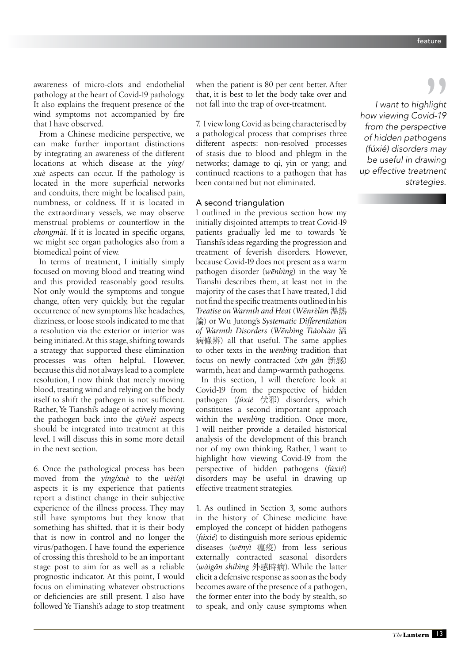awareness of micro-clots and endothelial pathology at the heart of Covid-19 pathology. It also explains the frequent presence of the wind symptoms not accompanied by fire that I have observed.

From a Chinese medicine perspective, we can make further important distinctions by integrating an awareness of the different locations at which disease at the *yíng*/ *xuè* aspects can occur. If the pathology is located in the more superficial networks and conduits, there might be localised pain, numbness, or coldness. If it is located in the extraordinary vessels, we may observe menstrual problems or counterflow in the *chöngmài*. If it is located in specific organs, we might see organ pathologies also from a biomedical point of view.

In terms of treatment, I initially simply focused on moving blood and treating wind and this provided reasonably good results. Not only would the symptoms and tongue change, often very quickly, but the regular occurrence of new symptoms like headaches, dizziness, or loose stools indicated to me that a resolution via the exterior or interior was being initiated. At this stage, shifting towards a strategy that supported these elimination processes was often helpful. However, because this did not always lead to a complete resolution, I now think that merely moving blood, treating wind and relying on the body itself to shift the pathogen is not sufficient. Rather, Ye Tianshi's adage of actively moving the pathogen back into the *qì/wèi* aspects should be integrated into treatment at this level. I will discuss this in some more detail in the next section.

6. Once the pathological process has been moved from the *yíng/xuè* to the *wèi/qì* aspects it is my experience that patients report a distinct change in their subjective experience of the illness process. They may still have symptoms but they know that something has shifted, that it is their body that is now in control and no longer the virus/pathogen. I have found the experience of crossing this threshold to be an important stage post to aim for as well as a reliable prognostic indicator. At this point, I would focus on eliminating whatever obstructions or deficiencies are still present. I also have followed Ye Tianshi's adage to stop treatment

when the patient is 80 per cent better. After that, it is best to let the body take over and not fall into the trap of over-treatment.

7. I view long Covid as being characterised by a pathological process that comprises three different aspects: non-resolved processes of stasis due to blood and phlegm in the networks; damage to qi, yin or yang; and continued reactions to a pathogen that has been contained but not eliminated.

## A second triangulation

I outlined in the previous section how my initially disjointed attempts to treat Covid-19 patients gradually led me to towards Ye Tianshi's ideas regarding the progression and treatment of feverish disorders. However, because Covid-19 does not present as a warm pathogen disorder (*wënbìng*) in the way Ye Tianshi describes them, at least not in the majority of the cases that I have treated, I did not find the specific treatments outlined in his *Treatise on Warmth and Heat* (*Wënrèlùn* 溫熱 論) or Wu Jutong's *Systematic Differentiation of Warmth Disorders* (*Wënbìng Tiáobiàn* 溫 病條辨) all that useful. The same applies to other texts in the *wënbìng* tradition that focus on newly contracted (*xïn gân* 新感) warmth, heat and damp-warmth pathogens.

In this section, I will therefore look at Covid-19 from the perspective of hidden pathogen (*fúxié* 伏邪) disorders, which constitutes a second important approach within the *wënbìng* tradition. Once more, I will neither provide a detailed historical analysis of the development of this branch nor of my own thinking. Rather, I want to highlight how viewing Covid-19 from the perspective of hidden pathogens (*fúxié*) disorders may be useful in drawing up effective treatment strategies.

1. As outlined in Section 3, some authors in the history of Chinese medicine have employed the concept of hidden pathogens (*fúxié*) to distinguish more serious epidemic diseases (*wënyì* 瘟疫) from less serious externally contracted seasonal disorders (*wàigân shíbìng* 外感時病). While the latter elicit a defensive response as soon as the body becomes aware of the presence of a pathogen, the former enter into the body by stealth, so to speak, and only cause symptoms when

*I want to highlight how viewing Covid-19 from the perspective of hidden pathogens (fúxié) disorders may be useful in drawing up effective treatment strategies.* |<br>| hlight<br>|vid-19<br>| ective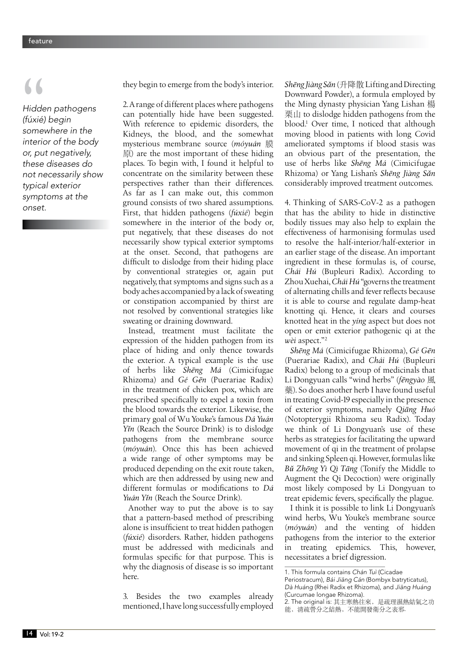*Hidden pathogens (fúxié) begin somewhere in the interior of the body or, put negatively, these diseases do not necessarily show typical exterior symptoms at the onset.* **| ||**<br>Hidde<br>(fúxié,<br>some

they begin to emerge from the body's interior.

2. A range of different places where pathogens can potentially hide have been suggested. With reference to epidemic disorders, the Kidneys, the blood, and the somewhat mysterious membrane source (*móyuán* 膜 原) are the most important of these hiding places. To begin with, I found it helpful to concentrate on the similarity between these perspectives rather than their differences. As far as I can make out, this common ground consists of two shared assumptions. First, that hidden pathogens (*fúxié*) begin somewhere in the interior of the body or, put negatively, that these diseases do not necessarily show typical exterior symptoms at the onset. Second, that pathogens are difficult to dislodge from their hiding place by conventional strategies or, again put negatively, that symptoms and signs such as a body aches accompanied by a lack of sweating or constipation accompanied by thirst are not resolved by conventional strategies like sweating or draining downward.

Instead, treatment must facilitate the expression of the hidden pathogen from its place of hiding and only thence towards the exterior. A typical example is the use of herbs like *Shëng Má* (Cimicifugae Rhizoma) and *Gé Gën* (Puerariae Radix) in the treatment of chicken pox, which are prescribed specifically to expel a toxin from the blood towards the exterior. Likewise, the primary goal of Wu Youke's famous *Dá Yuán Yîn* (Reach the Source Drink) is to dislodge pathogens from the membrane source (*móyuán*). Once this has been achieved a wide range of other symptoms may be produced depending on the exit route taken, which are then addressed by using new and different formulas or modifications to *Dá Yuán Yîn* (Reach the Source Drink).

Another way to put the above is to say that a pattern-based method of prescribing alone is insufficient to treat hidden pathogen (*fúxié*) disorders. Rather, hidden pathogens must be addressed with medicinals and formulas specific for that purpose. This is why the diagnosis of disease is so important here.

3. Besides the two examples already mentioned, I have long successfully employed *Shëng Jiàng Sân* (升降散 Lifting and Directing Downward Powder), a formula employed by the Ming dynasty physician Yang Lishan 楊 栗山 to dislodge hidden pathogens from the blood.1 Over time, I noticed that although moving blood in patients with long Covid ameliorated symptoms if blood stasis was an obvious part of the presentation, the use of herbs like *Shëng Má* (Cimicifugae Rhizoma) or Yang Lishan's *Shëng Jiàng Sân* considerably improved treatment outcomes.

4. Thinking of SARS-CoV-2 as a pathogen that has the ability to hide in distinctive bodily tissues may also help to explain the effectiveness of harmonising formulas used to resolve the half-interior/half-exterior in an earlier stage of the disease. An important ingredient in these formulas is, of course, *Chái Hú* (Bupleuri Radix). According to Zhou Xuehai, *Chái Hú* "governs the treatment of alternating chills and fever reflects because it is able to course and regulate damp-heat knotting qi. Hence, it clears and courses knotted heat in the *yíng* aspect but does not open or emit exterior pathogenic qi at the *wèi* aspect."2

*Shëng Má* (Cimicifugae Rhizoma), *Gé Gën* (Puerariae Radix), and *Chái Hú* (Bupleuri Radix) belong to a group of medicinals that Li Dongyuan calls "wind herbs" (*fëngyào* 風 藥). So does another herb I have found useful in treating Covid-19 especially in the presence of exterior symptoms, namely *Qiäng Huó*  (Notopterygii Rhizoma seu Radix). Today we think of Li Dongyuan's use of these herbs as strategies for facilitating the upward movement of qi in the treatment of prolapse and sinking Spleen qi. However, formulas like *Bû Zhöng Yì Qì Täng* (Tonify the Middle to Augment the Qi Decoction) were originally most likely composed by Li Dongyuan to treat epidemic fevers, specifically the plague.

I think it is possible to link Li Dongyuan's wind herbs, Wu Youke's membrane source (*móyuán*) and the venting of hidden pathogens from the interior to the exterior treating epidemics. This, however, necessitates a brief digression.

<sup>1.</sup> This formula contains *Chán Tuì* (Cicadae Periostracum), Bái Jiāng Cán (Bombyx batryticatus), *Dà Huáng* (Rhei Radix et Rhizoma), and Jiāng Huáng (Curcumae longae Rhizoma).

<sup>2.</sup> The original is: 其主寒熱往來,是疏理濕熱結氣之功 能,清疏營分之結熱,不能開發衛分之表邪.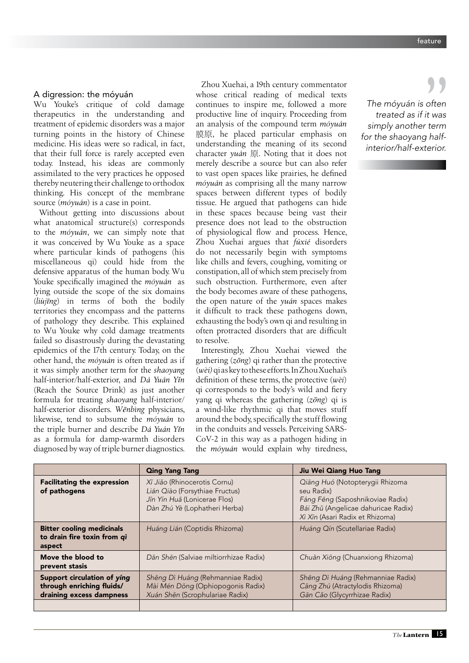## A digression: the móyuán

Wu Youke's critique of cold damage therapeutics in the understanding and treatment of epidemic disorders was a major turning points in the history of Chinese medicine. His ideas were so radical, in fact, that their full force is rarely accepted even today. Instead, his ideas are commonly assimilated to the very practices he opposed thereby neutering their challenge to orthodox thinking. His concept of the membrane source (*móyuán*) is a case in point.

Without getting into discussions about what anatomical structure(s) corresponds to the *móyuán*, we can simply note that it was conceived by Wu Youke as a space where particular kinds of pathogens (his miscellaneous qi) could hide from the defensive apparatus of the human body. Wu Youke specifically imagined the *móyuán* as lying outside the scope of the six domains (*liùjïng*) in terms of both the bodily territories they encompass and the patterns of pathology they describe. This explained to Wu Youke why cold damage treatments failed so disastrously during the devastating epidemics of the 17th century. Today, on the other hand, the *móyuán* is often treated as if it was simply another term for the *shaoyang* half-interior/half-exterior, and *Dá Yuán Yîn* (Reach the Source Drink) as just another formula for treating *shaoyang* half-interior/ half-exterior disorders. *Wënbìng* physicians, likewise, tend to subsume the *móyuán* to the triple burner and describe *Dá Yuán Yîn*  as a formula for damp-warmth disorders diagnosed by way of triple burner diagnostics.

Zhou Xuehai, a 19th century commentator whose critical reading of medical texts continues to inspire me, followed a more productive line of inquiry. Proceeding from an analysis of the compound term *móyuán* 膜原, he placed particular emphasis on understanding the meaning of its second character *yuán* 原. Noting that it does not merely describe a source but can also refer to vast open spaces like prairies, he defined *móyuán* as comprising all the many narrow spaces between different types of bodily tissue. He argued that pathogens can hide in these spaces because being vast their presence does not lead to the obstruction of physiological flow and process. Hence, Zhou Xuehai argues that *fúxié* disorders do not necessarily begin with symptoms like chills and fevers, coughing, vomiting or constipation, all of which stem precisely from such obstruction. Furthermore, even after the body becomes aware of these pathogens, the open nature of the *yuán* spaces makes it difficult to track these pathogens down, exhausting the body's own qi and resulting in often protracted disorders that are difficult to resolve.

Interestingly, Zhou Xuehai viewed the gathering (*zöng*) qi rather than the protective (*wèi)* qi as key to these efforts. In Zhou Xuehai's definition of these terms, the protective (*wèi*) qi corresponds to the body's wild and fiery yang qi whereas the gathering (*zöng*) qi is a wind-like rhythmic qi that moves stuff around the body, specifically the stuff flowing in the conduits and vessels. Perceiving SARS-CoV-2 in this way as a pathogen hiding in the *móyuán* would explain why tiredness,

*The móyuán is often treated as if it was simply another term for the shaoyang halfinterior/half-exterior.* often<br>often<br>"term"

|                                                                                      | <b>Qing Yang Tang</b>                                                                                                           | Jiu Wei Qiang Huo Tang                                                                                                                                      |
|--------------------------------------------------------------------------------------|---------------------------------------------------------------------------------------------------------------------------------|-------------------------------------------------------------------------------------------------------------------------------------------------------------|
| <b>Facilitating the expression</b><br>of pathogens                                   | Xī Jião (Rhinocerotis Cornu)<br>Lián Qiào (Forsythiae Fructus)<br>Jīn Yín Huā (Lonicerae Flos)<br>Dàn Zhú Yè (Lophatheri Herba) | Qiāng Huó (Notopterygii Rhizoma<br>seu Radix)<br>Fáng Fēng (Saposhnikoviae Radix)<br>Bái Zhŭ (Angelicae dahuricae Radix)<br>Xì Xīn (Asari Radix et Rhizoma) |
| <b>Bitter cooling medicinals</b><br>to drain fire toxin from qì<br>aspect            | Huáng Lián (Coptidis Rhizoma)                                                                                                   | Huáng Qín (Scutellariae Radix)                                                                                                                              |
| Move the blood to<br>prevent stasis                                                  | Dān Shēn (Salviae miltiorrhizae Radix)                                                                                          | Chuān Xiōng (Chuanxiong Rhizoma)                                                                                                                            |
| Support circulation of ying<br>through enriching fluids/<br>draining excess dampness | Shēng Dì Huáng (Rehmanniae Radix)<br>Mài Mén Dōng (Ophiopogonis Radix)<br>Xuán Shēn (Scrophulariae Radix)                       | Shēng Dì Huáng (Rehmanniae Radix)<br>Cāng Zhú (Atractylodis Rhizoma)<br>Gān Căo (Glycyrrhizae Radix)                                                        |
|                                                                                      |                                                                                                                                 |                                                                                                                                                             |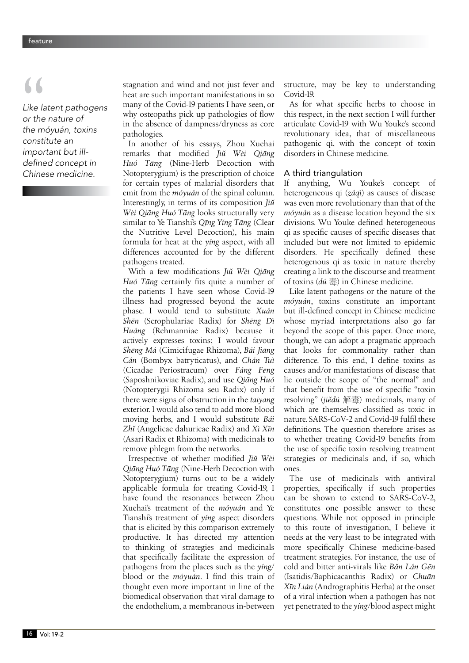*Like latent pathogens or the nature of the móyuán, toxins constitute an important but ill*defined concept in *Chinese medicine.* **S**<br>Like la<br>or the<br>the m

stagnation and wind and not just fever and heat are such important manifestations in so many of the Covid-19 patients I have seen, or why osteopaths pick up pathologies of flow in the absence of dampness/dryness as core pathologies.

In another of his essays, Zhou Xuehai remarks that modified *Jiû Wèi Qiäng Huó Täng* (Nine-Herb Decoction with Notopterygium) is the prescription of choice for certain types of malarial disorders that emit from the *móyuán* of the spinal column. Interestingly, in terms of its composition *Jiû Wèi Qiäng Huó Täng* looks structurally very similar to Ye Tianshi's *Qïng Yíng Täng* (Clear the Nutritive Level Decoction), his main formula for heat at the *yíng* aspect, with all differences accounted for by the different pathogens treated.

With a few modifications *Jiû Wèi Qiäng Huó Täng* certainly fits quite a number of the patients I have seen whose Covid-19 illness had progressed beyond the acute phase. I would tend to substitute *Xuán Shën* (Scrophulariae Radix) for *Shëng Dì Huáng* (Rehmanniae Radix) because it actively expresses toxins; I would favour *Shëng Má* (Cimicifugae Rhizoma), *Bái Jiäng Cán* (Bombyx batryticatus), and *Chán Tuì* (Cicadae Periostracum) over *Fáng Fëng* (Saposhnikoviae Radix), and use *Qiäng Huó* (Notopterygii Rhizoma seu Radix) only if there were signs of obstruction in the *taiyang* exterior. I would also tend to add more blood moving herbs, and I would substitute *Bái Zhî* (Angelicae dahuricae Radix) and *Xì Xïn*  (Asari Radix et Rhizoma) with medicinals to remove phlegm from the networks.

Irrespective of whether modified *Jiû Wèi Qiäng Huó Täng* (Nine-Herb Decoction with Notopterygium) turns out to be a widely applicable formula for treating Covid-19, I have found the resonances between Zhou Xuehai's treatment of the *móyuán* and Ye Tianshi's treatment of *yíng* aspect disorders that is elicited by this comparison extremely productive. It has directed my attention to thinking of strategies and medicinals that specifically facilitate the expression of pathogens from the places such as the *yíng*/ blood or the *móyuán*. I find this train of thought even more important in line of the biomedical observation that viral damage to the endothelium, a membranous in-between structure, may be key to understanding Covid-19.

As for what specific herbs to choose in this respect, in the next section I will further articulate Covid-19 with Wu Youke's second revolutionary idea, that of miscellaneous pathogenic qi, with the concept of toxin disorders in Chinese medicine.

## A third triangulation

If anything, Wu Youke's concept of heterogeneous qi (*záqì*) as causes of disease was even more revolutionary than that of the *móyuán* as a disease location beyond the six divisions. Wu Youke defined heterogeneous qi as specific causes of specific diseases that included but were not limited to epidemic disorders. He specifically defined these heterogenous qi as toxic in nature thereby creating a link to the discourse and treatment of toxins (*dú* 毒) in Chinese medicine.

Like latent pathogens or the nature of the *móyuán*, toxins constitute an important but ill-defined concept in Chinese medicine whose myriad interpretations also go far beyond the scope of this paper. Once more, though, we can adopt a pragmatic approach that looks for commonality rather than difference. To this end, I define toxins as causes and/or manifestations of disease that lie outside the scope of "the normal" and that benefit from the use of specific "toxin resolving" (*jiêdú* 解毒) medicinals, many of which are themselves classified as toxic in nature. SARS-CoV-2 and Covid-19 fulfil these definitions. The question therefore arises as to whether treating Covid-19 benefits from the use of specific toxin resolving treatment strategies or medicinals and, if so, which ones.

The use of medicinals with antiviral properties, specifically if such properties can be shown to extend to SARS-CoV-2, constitutes one possible answer to these questions. While not opposed in principle to this route of investigation, I believe it needs at the very least to be integrated with more specifically Chinese medicine-based treatment strategies. For instance, the use of cold and bitter anti-virals like *Bân Lán Gën*  (Isatidis/Baphicacanthis Radix) or *Chuän Xïn Lián* (Andrographitis Herba) at the onset of a viral infection when a pathogen has not yet penetrated to the *yíng*/blood aspect might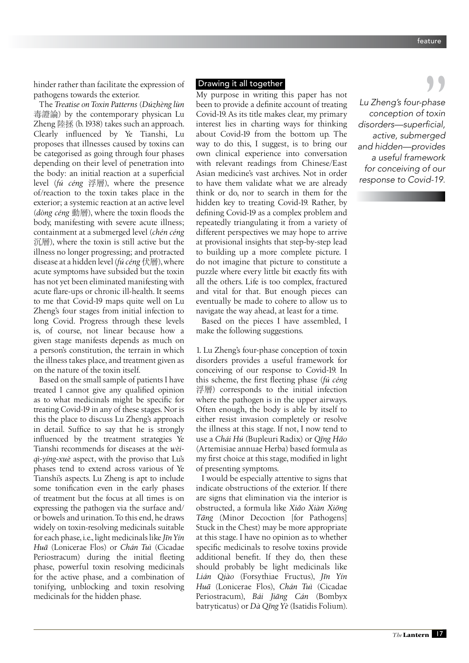hinder rather than facilitate the expression of pathogens towards the exterior.

The *Treatise on Toxin Patterns* (*Dúzhèng lùn* 毒證論) by the contemporary physican Lu Zheng 陸拯 (b. 1938) takes such an approach. Clearly influenced by Ye Tianshi, Lu proposes that illnesses caused by toxins can be categorised as going through four phases depending on their level of penetration into the body: an initial reaction at a superficial level (*fú céng* 浮層), where the presence of/reaction to the toxin takes place in the exterior; a systemic reaction at an active level (*dòng céng* 動層), where the toxin floods the body, manifesting with severe acute illness; containment at a submerged level (*chén céng* 沉層), where the toxin is still active but the illness no longer progressing; and protracted disease at a hidden level (*fú céng* 伏層), where acute symptoms have subsided but the toxin has not yet been eliminated manifesting with acute flare-ups or chronic ill-health. It seems to me that Covid-19 maps quite well on Lu Zheng's four stages from initial infection to long Covid. Progress through these levels is, of course, not linear because how a given stage manifests depends as much on a person's constitution, the terrain in which the illness takes place, and treatment given as on the nature of the toxin itself.

Based on the small sample of patients I have treated I cannot give any qualified opinion as to what medicinals might be specific for treating Covid-19 in any of these stages. Nor is this the place to discuss Lu Zheng's approach in detail. Suffice to say that he is strongly influenced by the treatment strategies Ye Tianshi recommends for diseases at the *wèiqì-yíng-xuè* aspect, with the proviso that Lu's phases tend to extend across various of Ye Tianshi's aspects. Lu Zheng is apt to include some tonification even in the early phases of treatment but the focus at all times is on expressing the pathogen via the surface and/ or bowels and urination. To this end, he draws widely on toxin-resolving medicinals suitable for each phase, i.e., light medicinals like *Jïn Yín Huä* (Lonicerae Flos) or *Chán Tuì* (Cicadae Periostracum) during the initial fleeting phase, powerful toxin resolving medicinals for the active phase, and a combination of tonifying, unblocking and toxin resolving medicinals for the hidden phase.

## Drawing it all together

My purpose in writing this paper has not been to provide a definite account of treating Covid-19. As its title makes clear, my primary interest lies in charting ways for thinking about Covid-19 from the bottom up. The way to do this, I suggest, is to bring our own clinical experience into conversation with relevant readings from Chinese/East Asian medicine's vast archives. Not in order to have them validate what we are already think or do, nor to search in them for the hidden key to treating Covid-19. Rather, by defining Covid-19 as a complex problem and repeatedly triangulating it from a variety of different perspectives we may hope to arrive at provisional insights that step-by-step lead to building up a more complete picture. I do not imagine that picture to constitute a puzzle where every little bit exactly fits with all the others. Life is too complex, fractured and vital for that. But enough pieces can eventually be made to cohere to allow us to navigate the way ahead, at least for a time.

Based on the pieces I have assembled, I make the following suggestions.

1. Lu Zheng's four-phase conception of toxin disorders provides a useful framework for conceiving of our response to Covid-19. In this scheme, the first fleeting phase (*fú céng* 浮層) corresponds to the initial infection where the pathogen is in the upper airways. Often enough, the body is able by itself to either resist invasion completely or resolve the illness at this stage. If not, I now tend to use a *Chái Hú* (Bupleuri Radix) or *Qïng Häo* (Artemisiae annuae Herba) based formula as my first choice at this stage, modified in light of presenting symptoms.

I would be especially attentive to signs that indicate obstructions of the exterior. If there are signs that elimination via the interior is obstructed, a formula like *Xiâo Xiàn Xiöng Täng* (Minor Decoction [for Pathogens] Stuck in the Chest) may be more appropriate at this stage. I have no opinion as to whether specific medicinals to resolve toxins provide additional benefit. If they do, then these should probably be light medicinals like *Lián Qiào* (Forsythiae Fructus), *Jïn Yín Huä* (Lonicerae Flos), *Chán Tuì* (Cicadae Periostracum), *Bái Jiäng Cán* (Bombyx batryticatus) or *Dà Qïng Yè* (Isatidis Folium).

*Lu Zheng's four-phase conception of toxin*  Lu Zheng's four-phase<br>conception of toxin<br>disorders—superficial, *active, submerged and hidden—provides a useful framework for conceiving of our response to Covid-19.*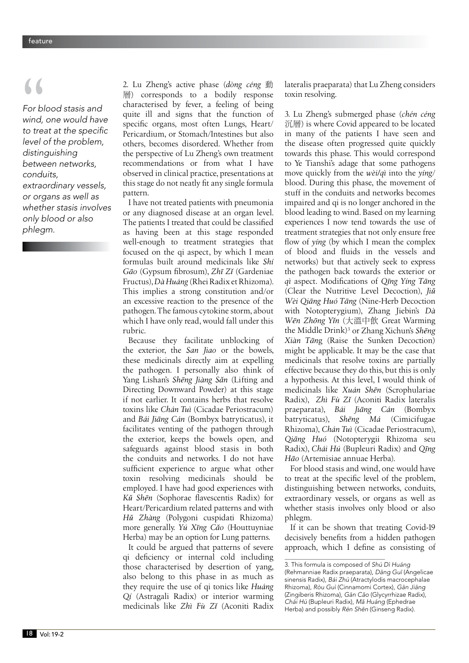*For blood stasis and wind, one would have*  to treat at the specific *level of the problem, distinguishing between networks, conduits, extraordinary vessels, or organs as well as whether stasis involves only blood or also phlegm.* **S**<br>
For b<br>
wind,<br>
to tre

2. Lu Zheng's active phase (*dòng céng* 動 層) corresponds to a bodily response characterised by fever, a feeling of being quite ill and signs that the function of specific organs, most often Lungs, Heart/ Pericardium, or Stomach/Intestines but also others, becomes disordered. Whether from the perspective of Lu Zheng's own treatment recommendations or from what I have observed in clinical practice, presentations at this stage do not neatly fit any single formula pattern.

I have not treated patients with pneumonia or any diagnosed disease at an organ level. The patients I treated that could be classified as having been at this stage responded well-enough to treatment strategies that focused on the qi aspect, by which I mean formulas built around medicinals like *Shí Gäo* (Gypsum fibrosum), *Zhï Zî* (Gardeniae Fructus), *Dà Huáng* (Rhei Radix et Rhizoma). This implies a strong constitution and/or an excessive reaction to the presence of the pathogen. The famous cytokine storm, about which I have only read, would fall under this rubric.

Because they facilitate unblocking of the exterior, the *San Jiao* or the bowels, these medicinals directly aim at expelling the pathogen. I personally also think of Yang Lishan's *Shëng Jiàng Sân* (Lifting and Directing Downward Powder) at this stage if not earlier. It contains herbs that resolve toxins like *Chán Tuì* (Cicadae Periostracum) and *Bái Jiäng Cán* (Bombyx batryticatus), it facilitates venting of the pathogen through the exterior, keeps the bowels open, and safeguards against blood stasis in both the conduits and networks. I do not have sufficient experience to argue what other toxin resolving medicinals should be employed. I have had good experiences with *Kû Shën* (Sophorae flavescentis Radix) for Heart/Pericardium related patterns and with *Hû Zhàng* (Polygoni cuspidati Rhizoma) more generally. *Yú Xïng Câo* (Houttuyniae Herba) may be an option for Lung patterns.

It could be argued that patterns of severe qi deficiency or internal cold including those characterised by desertion of yang, also belong to this phase in as much as they require the use of qi tonics like *Huáng Qí* (Astragali Radix) or interior warming medicinals like *Zhì Fù Zî* (Aconiti Radix lateralis praeparata) that Lu Zheng considers toxin resolving.

3. Lu Zheng's submerged phase (*chén céng* 沉層) is where Covid appeared to be located in many of the patients I have seen and the disease often progressed quite quickly towards this phase. This would correspond to Ye Tianshi's adage that some pathogens move quickly from the *wèi/qì* into the *yíng*/ blood. During this phase, the movement of stuff in the conduits and networks becomes impaired and qi is no longer anchored in the blood leading to wind. Based on my learning experiences I now tend towards the use of treatment strategies that not only ensure free flow of *yíng* (by which I mean the complex of blood and fluids in the vessels and networks) but that actively seek to express the pathogen back towards the exterior or *qì* aspect. Modifications of *Qïng Yíng Täng* (Clear the Nutritive Level Decoction), *Jiû Wèi Qiäng Huó Täng* (Nine-Herb Decoction with Notopterygium), Zhang Jiebin's *Dà Wën Zhöng Yîn* (大溫中飲 Great Warming the Middle Drink)3 or Zhang Xichun's *Shëng Xiàn Tän*g (Raise the Sunken Decoction) might be applicable. It may be the case that medicinals that resolve toxins are partially effective because they do this, but this is only a hypothesis. At this level, I would think of medicinals like *Xuán Shën* (Scrophulariae Radix), *Zhì Fù Zî* (Aconiti Radix lateralis praeparata), *Bái Jiäng Cán* (Bombyx batryticatus), *Shëng Má* (Cimicifugae Rhizoma), *Chán Tuì* (Cicadae Periostracum), *Qiäng Huó* (Notopterygii Rhizoma seu Radix), *Chái Hú* (Bupleuri Radix) and *Qïng Häo* (Artemisiae annuae Herba).

For blood stasis and wind, one would have to treat at the specific level of the problem, distinguishing between networks, conduits, extraordinary vessels, or organs as well as whether stasis involves only blood or also phlegm.

If it can be shown that treating Covid-19 decisively benefits from a hidden pathogen approach, which I define as consisting of

<sup>3.</sup> This formula is composed of *Shú Dì Huáng* (Rehmanniae Radix praeparata), Dāng Guī (Angelicae sinensis Radix), *Bái Zhú* (Atractylodis macrocephalae Rhizoma), *Ròu Guì* (Cinnamomi Cortex), Gān Jiāng (Zingiberis Rhizoma), Gān Căo (Glycyrrhizae Radix), *Chái Hú* (Bupleuri Radix), Mă Huáng (Ephedrae Herba) and possibly Rén Shēn (Ginseng Radix).